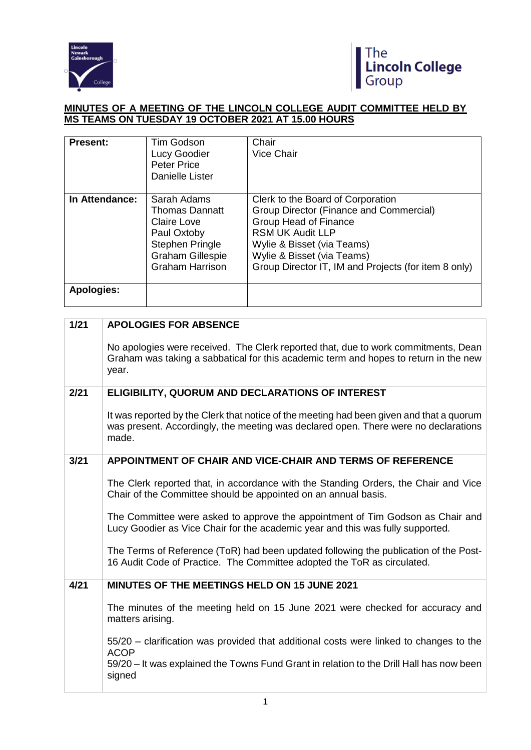



## **MINUTES OF A MEETING OF THE LINCOLN COLLEGE AUDIT COMMITTEE HELD BY MS TEAMS ON TUESDAY 19 OCTOBER 2021 AT 15.00 HOURS**

| <b>Present:</b>   | Tim Godson<br>Lucy Goodier<br><b>Peter Price</b><br>Danielle Lister                                                                                      | Chair<br>Vice Chair                                                                                                                                                                                                                                                |
|-------------------|----------------------------------------------------------------------------------------------------------------------------------------------------------|--------------------------------------------------------------------------------------------------------------------------------------------------------------------------------------------------------------------------------------------------------------------|
| In Attendance:    | Sarah Adams<br><b>Thomas Dannatt</b><br><b>Claire Love</b><br>Paul Oxtoby<br><b>Stephen Pringle</b><br><b>Graham Gillespie</b><br><b>Graham Harrison</b> | Clerk to the Board of Corporation<br><b>Group Director (Finance and Commercial)</b><br><b>Group Head of Finance</b><br><b>RSM UK Audit LLP</b><br>Wylie & Bisset (via Teams)<br>Wylie & Bisset (via Teams)<br>Group Director IT, IM and Projects (for item 8 only) |
| <b>Apologies:</b> |                                                                                                                                                          |                                                                                                                                                                                                                                                                    |

# **1/21 APOLOGIES FOR ABSENCE**

No apologies were received. The Clerk reported that, due to work commitments, Dean Graham was taking a sabbatical for this academic term and hopes to return in the new year.

## **2/21 ELIGIBILITY, QUORUM AND DECLARATIONS OF INTEREST**

It was reported by the Clerk that notice of the meeting had been given and that a quorum was present. Accordingly, the meeting was declared open. There were no declarations made.

## **3/21 APPOINTMENT OF CHAIR AND VICE-CHAIR AND TERMS OF REFERENCE**

The Clerk reported that, in accordance with the Standing Orders, the Chair and Vice Chair of the Committee should be appointed on an annual basis.

The Committee were asked to approve the appointment of Tim Godson as Chair and Lucy Goodier as Vice Chair for the academic year and this was fully supported.

The Terms of Reference (ToR) had been updated following the publication of the Post-16 Audit Code of Practice. The Committee adopted the ToR as circulated.

## **4/21 MINUTES OF THE MEETINGS HELD ON 15 JUNE 2021**

The minutes of the meeting held on 15 June 2021 were checked for accuracy and matters arising.

55/20 – clarification was provided that additional costs were linked to changes to the ACOP

59/20 – It was explained the Towns Fund Grant in relation to the Drill Hall has now been signed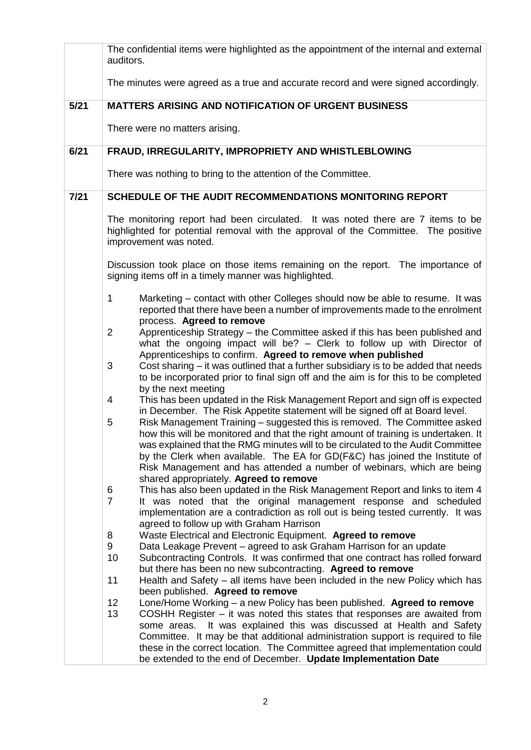|        | auditors.           | The confidential items were highlighted as the appointment of the internal and external                                                                                                                                                                                                                                                                                                                                                               |
|--------|---------------------|-------------------------------------------------------------------------------------------------------------------------------------------------------------------------------------------------------------------------------------------------------------------------------------------------------------------------------------------------------------------------------------------------------------------------------------------------------|
|        |                     | The minutes were agreed as a true and accurate record and were signed accordingly.                                                                                                                                                                                                                                                                                                                                                                    |
| $5/21$ |                     | <b>MATTERS ARISING AND NOTIFICATION OF URGENT BUSINESS</b>                                                                                                                                                                                                                                                                                                                                                                                            |
|        |                     | There were no matters arising.                                                                                                                                                                                                                                                                                                                                                                                                                        |
| 6/21   |                     | FRAUD, IRREGULARITY, IMPROPRIETY AND WHISTLEBLOWING                                                                                                                                                                                                                                                                                                                                                                                                   |
|        |                     | There was nothing to bring to the attention of the Committee.                                                                                                                                                                                                                                                                                                                                                                                         |
| 7/21   |                     | SCHEDULE OF THE AUDIT RECOMMENDATIONS MONITORING REPORT                                                                                                                                                                                                                                                                                                                                                                                               |
|        |                     | The monitoring report had been circulated. It was noted there are 7 items to be<br>highlighted for potential removal with the approval of the Committee. The positive<br>improvement was noted.                                                                                                                                                                                                                                                       |
|        |                     | Discussion took place on those items remaining on the report. The importance of<br>signing items off in a timely manner was highlighted.                                                                                                                                                                                                                                                                                                              |
|        | 1                   | Marketing – contact with other Colleges should now be able to resume. It was<br>reported that there have been a number of improvements made to the enrolment<br>process. Agreed to remove                                                                                                                                                                                                                                                             |
|        | 2                   | Apprenticeship Strategy - the Committee asked if this has been published and<br>what the ongoing impact will be? - Clerk to follow up with Director of<br>Apprenticeships to confirm. Agreed to remove when published                                                                                                                                                                                                                                 |
|        | 3                   | Cost sharing – it was outlined that a further subsidiary is to be added that needs<br>to be incorporated prior to final sign off and the aim is for this to be completed<br>by the next meeting                                                                                                                                                                                                                                                       |
|        | 4                   | This has been updated in the Risk Management Report and sign off is expected<br>in December. The Risk Appetite statement will be signed off at Board level.                                                                                                                                                                                                                                                                                           |
|        | 5                   | Risk Management Training - suggested this is removed. The Committee asked<br>how this will be monitored and that the right amount of training is undertaken. It<br>was explained that the RMG minutes will to be circulated to the Audit Committee<br>by the Clerk when available. The EA for GD(F&C) has joined the Institute of<br>Risk Management and has attended a number of webinars, which are being<br>shared appropriately. Agreed to remove |
|        | 6<br>$\overline{7}$ | This has also been updated in the Risk Management Report and links to item 4<br>It was noted that the original management response and scheduled<br>implementation are a contradiction as roll out is being tested currently. It was<br>agreed to follow up with Graham Harrison                                                                                                                                                                      |
|        | 8                   | Waste Electrical and Electronic Equipment. Agreed to remove                                                                                                                                                                                                                                                                                                                                                                                           |
|        | 9<br>10             | Data Leakage Prevent - agreed to ask Graham Harrison for an update<br>Subcontracting Controls. It was confirmed that one contract has rolled forward<br>but there has been no new subcontracting. Agreed to remove                                                                                                                                                                                                                                    |
|        | 11                  | Health and Safety - all items have been included in the new Policy which has<br>been published. Agreed to remove                                                                                                                                                                                                                                                                                                                                      |
|        | 12<br>13            | Lone/Home Working - a new Policy has been published. Agreed to remove<br>COSHH Register $-$ it was noted this states that responses are awaited from<br>It was explained this was discussed at Health and Safety<br>some areas.                                                                                                                                                                                                                       |
|        |                     | Committee. It may be that additional administration support is required to file<br>these in the correct location. The Committee agreed that implementation could<br>be extended to the end of December. Update Implementation Date                                                                                                                                                                                                                    |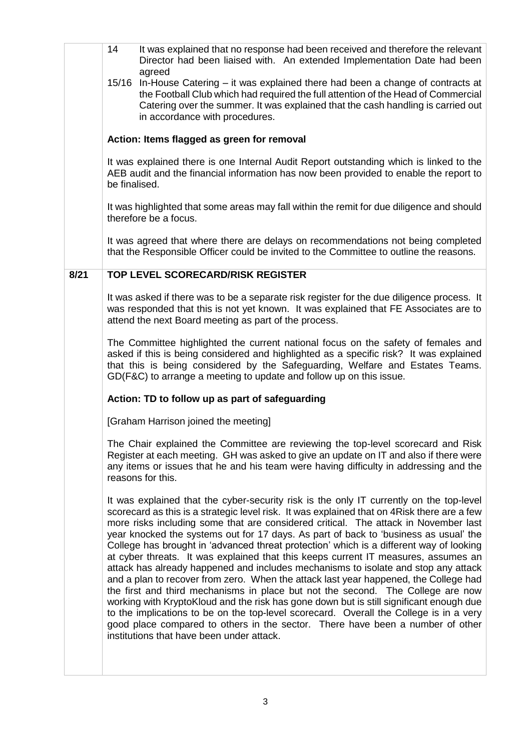| It was explained that no response had been received and therefore the relevant<br>Director had been liaised with. An extended Implementation Date had been                                                                                                                                                                                                                                                                                                                                                                                                                                                                                                                                                                                                                                                                                                                                                                                                                                                                                                                                     |
|------------------------------------------------------------------------------------------------------------------------------------------------------------------------------------------------------------------------------------------------------------------------------------------------------------------------------------------------------------------------------------------------------------------------------------------------------------------------------------------------------------------------------------------------------------------------------------------------------------------------------------------------------------------------------------------------------------------------------------------------------------------------------------------------------------------------------------------------------------------------------------------------------------------------------------------------------------------------------------------------------------------------------------------------------------------------------------------------|
|                                                                                                                                                                                                                                                                                                                                                                                                                                                                                                                                                                                                                                                                                                                                                                                                                                                                                                                                                                                                                                                                                                |
| 15/16 In-House Catering – it was explained there had been a change of contracts at<br>the Football Club which had required the full attention of the Head of Commercial<br>Catering over the summer. It was explained that the cash handling is carried out                                                                                                                                                                                                                                                                                                                                                                                                                                                                                                                                                                                                                                                                                                                                                                                                                                    |
|                                                                                                                                                                                                                                                                                                                                                                                                                                                                                                                                                                                                                                                                                                                                                                                                                                                                                                                                                                                                                                                                                                |
| It was explained there is one Internal Audit Report outstanding which is linked to the<br>AEB audit and the financial information has now been provided to enable the report to                                                                                                                                                                                                                                                                                                                                                                                                                                                                                                                                                                                                                                                                                                                                                                                                                                                                                                                |
| It was highlighted that some areas may fall within the remit for due diligence and should                                                                                                                                                                                                                                                                                                                                                                                                                                                                                                                                                                                                                                                                                                                                                                                                                                                                                                                                                                                                      |
| It was agreed that where there are delays on recommendations not being completed<br>that the Responsible Officer could be invited to the Committee to outline the reasons.                                                                                                                                                                                                                                                                                                                                                                                                                                                                                                                                                                                                                                                                                                                                                                                                                                                                                                                     |
|                                                                                                                                                                                                                                                                                                                                                                                                                                                                                                                                                                                                                                                                                                                                                                                                                                                                                                                                                                                                                                                                                                |
| It was asked if there was to be a separate risk register for the due diligence process. It<br>was responded that this is not yet known. It was explained that FE Associates are to                                                                                                                                                                                                                                                                                                                                                                                                                                                                                                                                                                                                                                                                                                                                                                                                                                                                                                             |
| The Committee highlighted the current national focus on the safety of females and<br>asked if this is being considered and highlighted as a specific risk? It was explained<br>that this is being considered by the Safeguarding, Welfare and Estates Teams.<br>GD(F&C) to arrange a meeting to update and follow up on this issue.                                                                                                                                                                                                                                                                                                                                                                                                                                                                                                                                                                                                                                                                                                                                                            |
|                                                                                                                                                                                                                                                                                                                                                                                                                                                                                                                                                                                                                                                                                                                                                                                                                                                                                                                                                                                                                                                                                                |
|                                                                                                                                                                                                                                                                                                                                                                                                                                                                                                                                                                                                                                                                                                                                                                                                                                                                                                                                                                                                                                                                                                |
| The Chair explained the Committee are reviewing the top-level scorecard and Risk<br>Register at each meeting. GH was asked to give an update on IT and also if there were<br>any items or issues that he and his team were having difficulty in addressing and the                                                                                                                                                                                                                                                                                                                                                                                                                                                                                                                                                                                                                                                                                                                                                                                                                             |
| It was explained that the cyber-security risk is the only IT currently on the top-level<br>scorecard as this is a strategic level risk. It was explained that on 4Risk there are a few<br>more risks including some that are considered critical. The attack in November last<br>year knocked the systems out for 17 days. As part of back to 'business as usual' the<br>College has brought in 'advanced threat protection' which is a different way of looking<br>at cyber threats. It was explained that this keeps current IT measures, assumes an<br>attack has already happened and includes mechanisms to isolate and stop any attack<br>and a plan to recover from zero. When the attack last year happened, the College had<br>the first and third mechanisms in place but not the second. The College are now<br>working with KryptoKloud and the risk has gone down but is still significant enough due<br>to the implications to be on the top-level scorecard. Overall the College is in a very<br>good place compared to others in the sector. There have been a number of other |
|                                                                                                                                                                                                                                                                                                                                                                                                                                                                                                                                                                                                                                                                                                                                                                                                                                                                                                                                                                                                                                                                                                |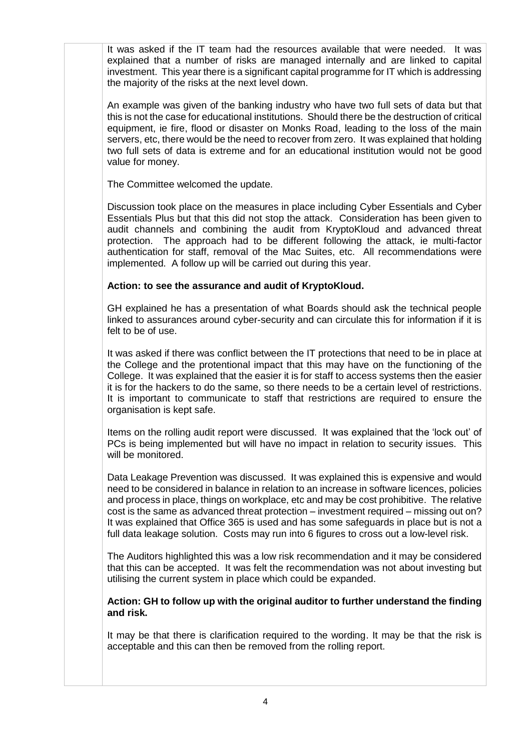It was asked if the IT team had the resources available that were needed. It was explained that a number of risks are managed internally and are linked to capital investment. This year there is a significant capital programme for IT which is addressing the majority of the risks at the next level down.

An example was given of the banking industry who have two full sets of data but that this is not the case for educational institutions. Should there be the destruction of critical equipment, ie fire, flood or disaster on Monks Road, leading to the loss of the main servers, etc, there would be the need to recover from zero. It was explained that holding two full sets of data is extreme and for an educational institution would not be good value for money.

The Committee welcomed the update.

Discussion took place on the measures in place including Cyber Essentials and Cyber Essentials Plus but that this did not stop the attack. Consideration has been given to audit channels and combining the audit from KryptoKloud and advanced threat protection. The approach had to be different following the attack, ie multi-factor authentication for staff, removal of the Mac Suites, etc. All recommendations were implemented. A follow up will be carried out during this year.

## **Action: to see the assurance and audit of KryptoKloud.**

GH explained he has a presentation of what Boards should ask the technical people linked to assurances around cyber-security and can circulate this for information if it is felt to be of use.

It was asked if there was conflict between the IT protections that need to be in place at the College and the protentional impact that this may have on the functioning of the College. It was explained that the easier it is for staff to access systems then the easier it is for the hackers to do the same, so there needs to be a certain level of restrictions. It is important to communicate to staff that restrictions are required to ensure the organisation is kept safe.

Items on the rolling audit report were discussed. It was explained that the 'lock out' of PCs is being implemented but will have no impact in relation to security issues. This will be monitored.

Data Leakage Prevention was discussed. It was explained this is expensive and would need to be considered in balance in relation to an increase in software licences, policies and process in place, things on workplace, etc and may be cost prohibitive. The relative cost is the same as advanced threat protection – investment required – missing out on? It was explained that Office 365 is used and has some safeguards in place but is not a full data leakage solution. Costs may run into 6 figures to cross out a low-level risk.

The Auditors highlighted this was a low risk recommendation and it may be considered that this can be accepted. It was felt the recommendation was not about investing but utilising the current system in place which could be expanded.

**Action: GH to follow up with the original auditor to further understand the finding and risk.** 

It may be that there is clarification required to the wording. It may be that the risk is acceptable and this can then be removed from the rolling report.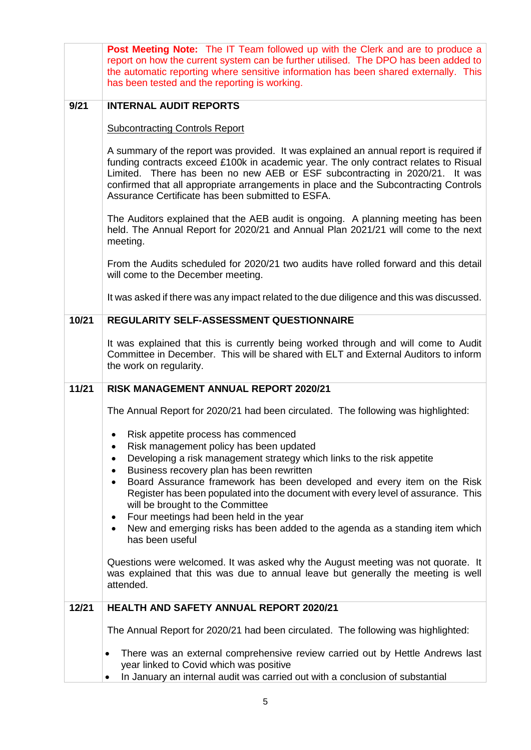| Post Meeting Note: The IT Team followed up with the Clerk and are to produce a<br>report on how the current system can be further utilised. The DPO has been added to<br>the automatic reporting where sensitive information has been shared externally. This                                                                                                                                              |
|------------------------------------------------------------------------------------------------------------------------------------------------------------------------------------------------------------------------------------------------------------------------------------------------------------------------------------------------------------------------------------------------------------|
| has been tested and the reporting is working.                                                                                                                                                                                                                                                                                                                                                              |
| <b>INTERNAL AUDIT REPORTS</b>                                                                                                                                                                                                                                                                                                                                                                              |
| <b>Subcontracting Controls Report</b>                                                                                                                                                                                                                                                                                                                                                                      |
| A summary of the report was provided. It was explained an annual report is required if<br>funding contracts exceed £100k in academic year. The only contract relates to Risual<br>Limited. There has been no new AEB or ESF subcontracting in 2020/21. It was<br>confirmed that all appropriate arrangements in place and the Subcontracting Controls<br>Assurance Certificate has been submitted to ESFA. |
| The Auditors explained that the AEB audit is ongoing. A planning meeting has been<br>held. The Annual Report for 2020/21 and Annual Plan 2021/21 will come to the next<br>meeting.                                                                                                                                                                                                                         |
| From the Audits scheduled for 2020/21 two audits have rolled forward and this detail<br>will come to the December meeting.                                                                                                                                                                                                                                                                                 |
| It was asked if there was any impact related to the due diligence and this was discussed.                                                                                                                                                                                                                                                                                                                  |
| REGULARITY SELF-ASSESSMENT QUESTIONNAIRE                                                                                                                                                                                                                                                                                                                                                                   |
| It was explained that this is currently being worked through and will come to Audit<br>Committee in December. This will be shared with ELT and External Auditors to inform<br>the work on regularity.                                                                                                                                                                                                      |
| RISK MANAGEMENT ANNUAL REPORT 2020/21                                                                                                                                                                                                                                                                                                                                                                      |
| The Annual Report for 2020/21 had been circulated. The following was highlighted:                                                                                                                                                                                                                                                                                                                          |
| Risk appetite process has commenced                                                                                                                                                                                                                                                                                                                                                                        |
| Risk management policy has been updated<br>Developing a risk management strategy which links to the risk appetite                                                                                                                                                                                                                                                                                          |
| ٠<br>Business recovery plan has been rewritten<br>$\bullet$                                                                                                                                                                                                                                                                                                                                                |
| Board Assurance framework has been developed and every item on the Risk<br>$\bullet$<br>Register has been populated into the document with every level of assurance. This<br>will be brought to the Committee                                                                                                                                                                                              |
| Four meetings had been held in the year<br>$\bullet$<br>New and emerging risks has been added to the agenda as a standing item which<br>$\bullet$<br>has been useful                                                                                                                                                                                                                                       |
| Questions were welcomed. It was asked why the August meeting was not quorate. It<br>was explained that this was due to annual leave but generally the meeting is well<br>attended.                                                                                                                                                                                                                         |
| <b>HEALTH AND SAFETY ANNUAL REPORT 2020/21</b>                                                                                                                                                                                                                                                                                                                                                             |
| The Annual Report for 2020/21 had been circulated. The following was highlighted:                                                                                                                                                                                                                                                                                                                          |
| There was an external comprehensive review carried out by Hettle Andrews last<br>$\bullet$<br>year linked to Covid which was positive                                                                                                                                                                                                                                                                      |
|                                                                                                                                                                                                                                                                                                                                                                                                            |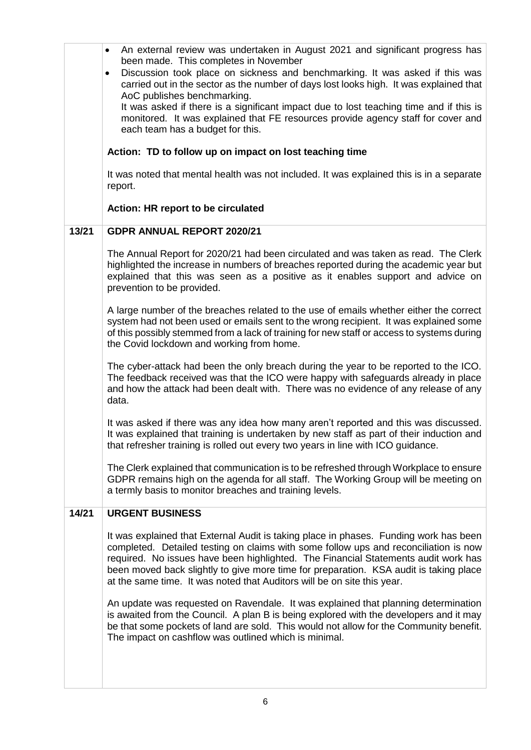|       | An external review was undertaken in August 2021 and significant progress has<br>$\bullet$                                                                                                                                                                                                                                                                                                                                              |
|-------|-----------------------------------------------------------------------------------------------------------------------------------------------------------------------------------------------------------------------------------------------------------------------------------------------------------------------------------------------------------------------------------------------------------------------------------------|
|       | been made. This completes in November<br>Discussion took place on sickness and benchmarking. It was asked if this was<br>$\bullet$<br>carried out in the sector as the number of days lost looks high. It was explained that<br>AoC publishes benchmarking.                                                                                                                                                                             |
|       | It was asked if there is a significant impact due to lost teaching time and if this is<br>monitored. It was explained that FE resources provide agency staff for cover and<br>each team has a budget for this.                                                                                                                                                                                                                          |
|       | Action: TD to follow up on impact on lost teaching time                                                                                                                                                                                                                                                                                                                                                                                 |
|       | It was noted that mental health was not included. It was explained this is in a separate<br>report.                                                                                                                                                                                                                                                                                                                                     |
|       | Action: HR report to be circulated                                                                                                                                                                                                                                                                                                                                                                                                      |
| 13/21 | <b>GDPR ANNUAL REPORT 2020/21</b>                                                                                                                                                                                                                                                                                                                                                                                                       |
|       | The Annual Report for 2020/21 had been circulated and was taken as read. The Clerk<br>highlighted the increase in numbers of breaches reported during the academic year but<br>explained that this was seen as a positive as it enables support and advice on<br>prevention to be provided.                                                                                                                                             |
|       | A large number of the breaches related to the use of emails whether either the correct<br>system had not been used or emails sent to the wrong recipient. It was explained some<br>of this possibly stemmed from a lack of training for new staff or access to systems during<br>the Covid lockdown and working from home.                                                                                                              |
|       | The cyber-attack had been the only breach during the year to be reported to the ICO.<br>The feedback received was that the ICO were happy with safeguards already in place<br>and how the attack had been dealt with. There was no evidence of any release of any<br>data.                                                                                                                                                              |
|       | It was asked if there was any idea how many aren't reported and this was discussed.<br>It was explained that training is undertaken by new staff as part of their induction and<br>that refresher training is rolled out every two years in line with ICO guidance.                                                                                                                                                                     |
|       | The Clerk explained that communication is to be refreshed through Workplace to ensure<br>GDPR remains high on the agenda for all staff. The Working Group will be meeting on<br>a termly basis to monitor breaches and training levels.                                                                                                                                                                                                 |
| 14/21 | <b>URGENT BUSINESS</b>                                                                                                                                                                                                                                                                                                                                                                                                                  |
|       | It was explained that External Audit is taking place in phases. Funding work has been<br>completed. Detailed testing on claims with some follow ups and reconciliation is now<br>required. No issues have been highlighted. The Financial Statements audit work has<br>been moved back slightly to give more time for preparation. KSA audit is taking place<br>at the same time. It was noted that Auditors will be on site this year. |
|       | An update was requested on Ravendale. It was explained that planning determination<br>is awaited from the Council. A plan B is being explored with the developers and it may<br>be that some pockets of land are sold. This would not allow for the Community benefit.<br>The impact on cashflow was outlined which is minimal.                                                                                                         |
|       |                                                                                                                                                                                                                                                                                                                                                                                                                                         |